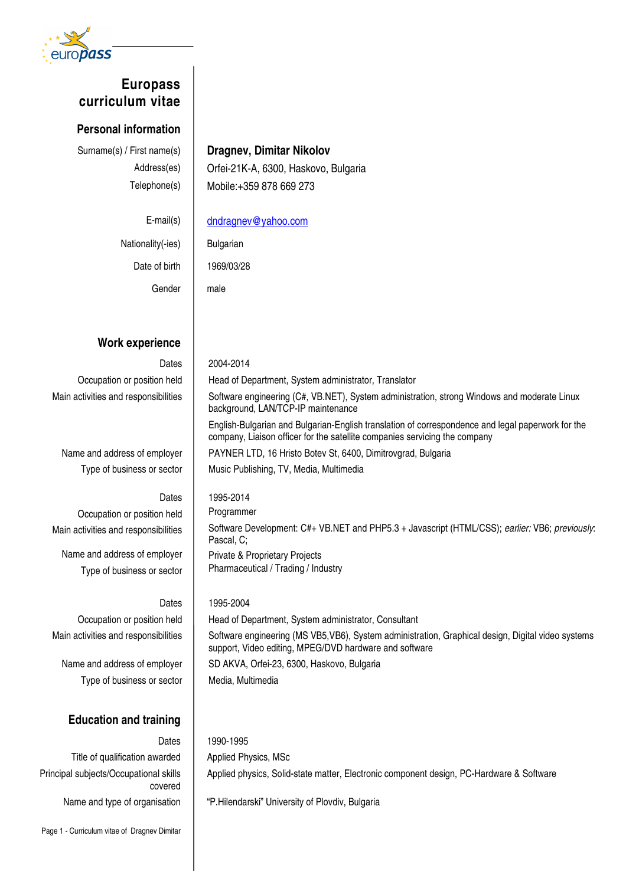

# **Europass curriculum vitae**

## **Personal information**

# Surname(s) / First name(s) **Dragnev, Dimitar Nikolov**

Address(es) | Orfei-21K-A, 6300, Haskovo, Bulgaria Telephone(s) | Mobile: +359 878 669 273

background, LAN/TCP-IP maintenance

Nationality(-ies) | Bulgarian Date of birth | 1969/03/28 Gender | male

E-mail(s) dndragnev@yahoo.com

# **Work experience**

Dates 2004-2014 Occupation or position held | Head of Department, System administrator, Translator Main activities and responsibilities | Software engineering (C#, VB.NET), System administration, strong Windows and moderate Linux

Name and address of employer | PAYNER LTD, 16 Hristo Botev St, 6400, Dimitrovgrad, Bulgaria

Occupation or position held | Programmer

Name and address of employer | Private & Proprietary Projects

# Dates 1995-2004

Type of business or sector | Media, Multimedia

# **Education and training**

Title of qualification awarded | Applied Physics, MSc Principal subjects/Occupational skills covered

Type of business or sector | Music Publishing, TV, Media, Multimedia Dates | 1995-2014 Main activities and responsibilities | Software Development: C#+ VB.NET and PHP5.3 + Javascript (HTML/CSS); earlier: VB6; previously: Pascal, C; Type of business or sector | Pharmaceutical / Trading / Industry Occupation or position held | Head of Department, System administrator, Consultant Main activities and responsibilities | Software engineering (MS VB5, VB6), System administration, Graphical design, Digital video systems support, Video editing, MPEG/DVD hardware and software

English-Bulgarian and Bulgarian-English translation of correspondence and legal paperwork for the

company, Liaison officer for the satellite companies servicing the company

Name and address of employer | SD AKVA, Orfei-23, 6300, Haskovo, Bulgaria

Dates 1990-1995

Applied physics, Solid-state matter, Electronic component design, PC-Hardware & Software

Name and type of organisation | "P.Hilendarski" University of Plovdiv, Bulgaria

Page 1 - Curriculum vitae of Dragnev Dimitar